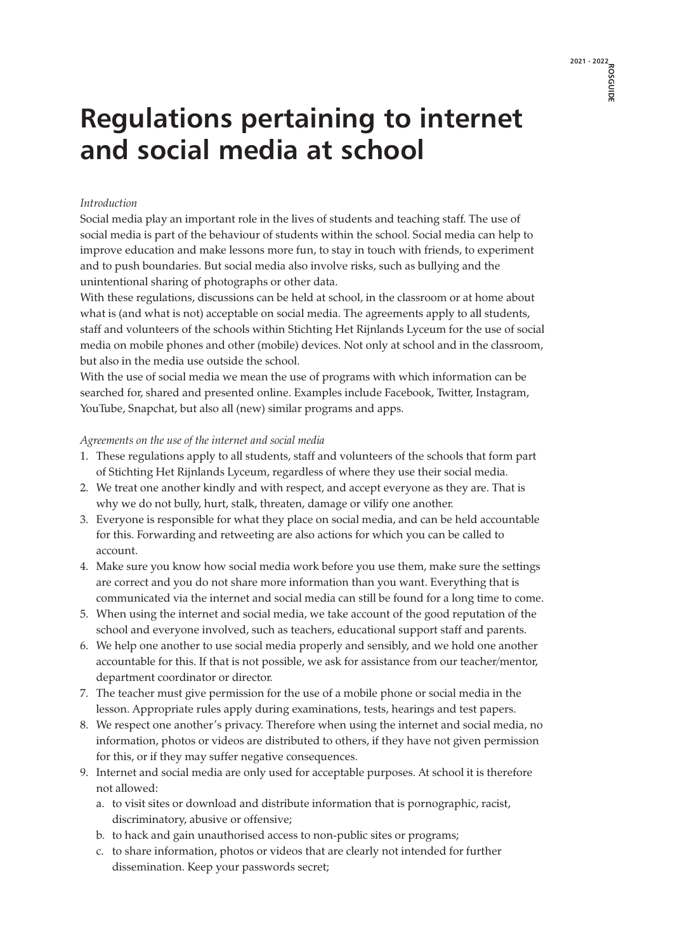## **2021 - 2022 ROSGUIDE**

## **Regulations pertaining to internet and social media at school**

## *Introduction*

Social media play an important role in the lives of students and teaching staff. The use of social media is part of the behaviour of students within the school. Social media can help to improve education and make lessons more fun, to stay in touch with friends, to experiment and to push boundaries. But social media also involve risks, such as bullying and the unintentional sharing of photographs or other data.

With these regulations, discussions can be held at school, in the classroom or at home about what is (and what is not) acceptable on social media. The agreements apply to all students, staff and volunteers of the schools within Stichting Het Rijnlands Lyceum for the use of social media on mobile phones and other (mobile) devices. Not only at school and in the classroom, but also in the media use outside the school.

With the use of social media we mean the use of programs with which information can be searched for, shared and presented online. Examples include Facebook, Twitter, Instagram, YouTube, Snapchat, but also all (new) similar programs and apps.

## *Agreements on the use of the internet and social media*

- 1. These regulations apply to all students, staff and volunteers of the schools that form part of Stichting Het Rijnlands Lyceum, regardless of where they use their social media.
- 2. We treat one another kindly and with respect, and accept everyone as they are. That is why we do not bully, hurt, stalk, threaten, damage or vilify one another.
- 3. Everyone is responsible for what they place on social media, and can be held accountable for this. Forwarding and retweeting are also actions for which you can be called to account.
- 4. Make sure you know how social media work before you use them, make sure the settings are correct and you do not share more information than you want. Everything that is communicated via the internet and social media can still be found for a long time to come.
- 5. When using the internet and social media, we take account of the good reputation of the school and everyone involved, such as teachers, educational support staff and parents.
- 6. We help one another to use social media properly and sensibly, and we hold one another accountable for this. If that is not possible, we ask for assistance from our teacher/mentor, department coordinator or director.
- 7. The teacher must give permission for the use of a mobile phone or social media in the lesson. Appropriate rules apply during examinations, tests, hearings and test papers.
- 8. We respect one another's privacy. Therefore when using the internet and social media, no information, photos or videos are distributed to others, if they have not given permission for this, or if they may suffer negative consequences.
- 9. Internet and social media are only used for acceptable purposes. At school it is therefore not allowed:
	- a. to visit sites or download and distribute information that is pornographic, racist, discriminatory, abusive or offensive;
	- b. to hack and gain unauthorised access to non-public sites or programs;
	- c. to share information, photos or videos that are clearly not intended for further dissemination. Keep your passwords secret;